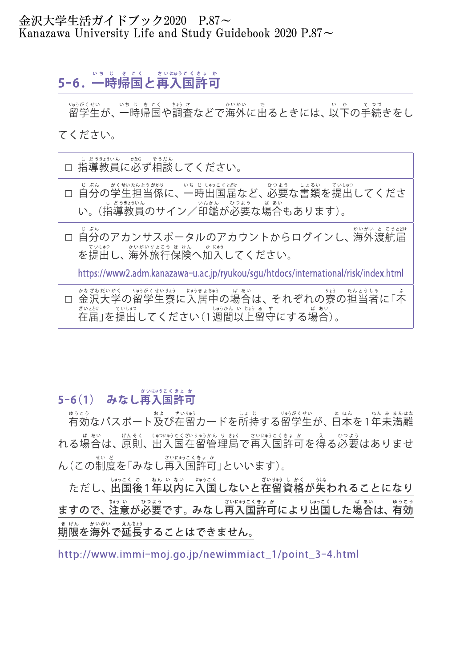### 金沢大学生活ガイドブック2020 P.87~ Kanazawa University Life and Study Guidebook 2020 P.87 $\sim$

## 5-6.一 時 帰 国 と再 入 国 許 可 いち じっき こく さいにゅうこくきょ か

<sub>ゅうがくせい いちじ きこく きゅうさ あいがい で<br>留学生が、一時帰国や調査などで海外に出るときには、以下の手続きをし</sub> いち じきこく かい がい てく ださい。

□ 指 導 教 員 に必 ず相 談 してく ださい。 し どうきょういん かなら そう だん □ 自 分 の学 生 担当係に、一 時 出 国 届 など、必 要 な書 類 を提 出 してく ださ じ ぶん がくせいたんとうがかり いち じ しゅっこくとどけ ひつ よう しょ るい てい しゅつ じぶん。がくせいたんとうがか。」、いち じょゅうくとという。<br>自分の学生担当係に、一時出国届など、必要<br>い。(指導教員のサイン/印鑑が必要な場合 し どうきょういん いんかん ひつよう ばあい ぅ <sub>じぁぃ てぃ</sub>。。<br>更な書類を提出l<br><mark>もあります</mark>)。 —— <sub>じぶん</sub><br>□ 自分のアカンサスポータルのアカウントからログインし、海外渡航届 じ ぶん かいがい と こうとどけ コンシングル ジング コンファール フロー<br>を提出し、海外旅行保険へ加入してください。 てい しゅつ かいがいりょこう ほ けん かにゅう https://www2.adm.kanazawa-u.ac.jp/ryukou/sgu/htdocs/international/risk/index.html 、 かなざわだく、 リゅうがくせいりょう にゅうきょちゅう ば あい<br>ロ 金沢大学の留学生寮に入居中の場合は、それぞれの寮の担当者に「不<br>在届」を提出してください(1週間以上留守にする場合)。 在 届 」を提 出 間 以 上 留 守 にする場 合 ざいとどけ ていしゅつ しゅうかん いじょうる す ば あい

# <sub>\*</sub><sub>いにゅうこくきょゕ</sub><br>5−6(1) みなし再入国許可 さいにゅうこくきょ か

ゅぅこぅ<br>有効なパスポート及び在留カードを所持する留学生が、日本を1年未満離 ゆうこう およ ざいりゅう しょ じ りゅう がく せい に ほん ねん み まんはな れる場合は、原則、出入国在留管理局で再入国許可を得る必要はありませ<br>ん(この制度を「みなし再入国許可」といいます)。 げんそく しゅつにゅうこくざいりゅうかん り きょく せい <sub>ど</sub><br>度を「みなし再入国許可 ど さいにゅうこくきょ か

ただし、聞国後1年以内に入国しないと在留資格が失われることになり しゅっこく ご ねん いない にゅうこく ざいりゅう しかく うしな ますので、注意が必要です。みなし再入国許可により出国した場合は、有効 ちゅうい ひつよう さいにゅうこくきょか しゅっこく ばあい ゆうこう 期 限 を海 外 で延 長 することはできません。 き げん かいがい えんちょう

http://www.immi-moj.go.jp/newimmiact\_1/point\_3-4.html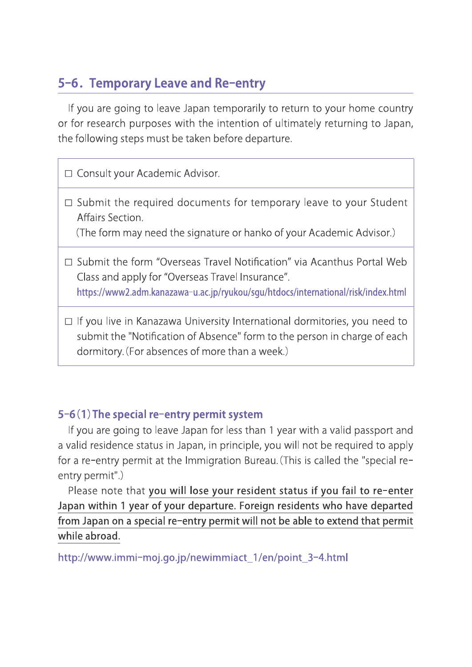# 5-6. Temporary Leave and Re-entry

If you are going to leave Japan temporarily to return to your home country or for research purposes with the intention of ultimately returning to Japan, the following steps must be taken before departure.

□ Consult your Academic Advisor.

 $\square$  Submit the required documents for temporary leave to your Student Affairs Section.

(The form may need the signature or hanko of your Academic Advisor.)

- □ Submit the form "Overseas Travel Notification" via Acanthus Portal Web Class and apply for "Overseas Travel Insurance". https://www2.adm.kanazawa-u.ac.jp/ryukou/sgu/htdocs/international/risk/index.html
- $\Box$  If you live in Kanazawa University International dormitories, you need to If you live in Kanazawa University International dormitories, you need to<br>submit the "Notification of Absence" form to the person in charge of each<br>dormitory. (For absences of more than a week.)

### 5-6(1) The special re-entry permit system

If you are going to leave Japan for less than 1 year with a valid passport and a valid residence status in Japan, in principle, you will not be required to apply If you are going to leave Japan for less than 1 year with a valid passport and<br>a valid residence status in Japan, in principle, you will not be required to apply<br>for a re-entry permit at the Immigration Bureau.(This is cal a valid residence s<br>for a re-entry perr<br>entry permit".) entry permit".)<br>Please note that you will lose your resident status if you fail to re-enter

Japan within 1 year of your departure. Foreign residents who have departed from Japan on a special re-entry permit will not be able to extend that permit while abroad.

http://www.immi-moj.go.jp/newimmiact\_1/en/point\_3-4.html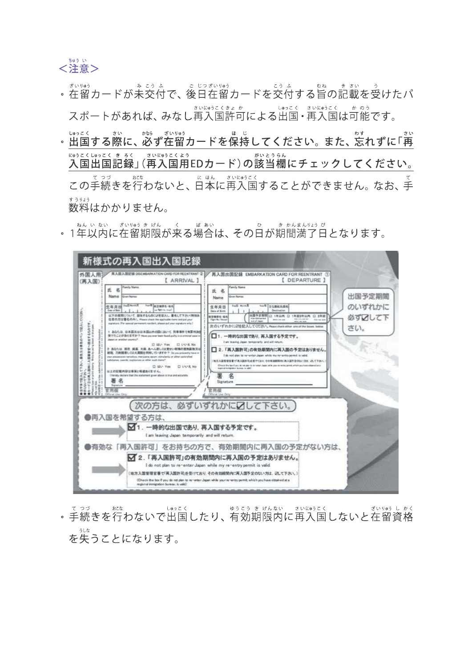

- 、をいい。<br>。在留カードが未交付で、後日在留カードを交付する旨の記載を受けたパ スポートがあれば、みなし再入国許可による出国・再入国は可能です。
- 。出国する際に、必ず在留カードを保持してください。また、忘れずに「再」<br>『『おさくしゅっこく まるく』さいにゅうこくよう<br>入国出国記録」(再入国用EDカード)の該当欄にチェックしてください。 入 国 出 国 記 録 入 国 用 がい 当 とう 欄 らん にチェックしてく ださい。 にゅうこくしゅっこく きろく さい にゅう こく よう この手 続 きを行 わないと、日 本 に再 入 国 することができません。なお、手 て つづ おこな に ほん さい にゅう こく て <sub>まうりょう</sub><br>数料はかかりません。 すう りょう
- 。 1年以内に在留期限が来る場合は、その日が期間満了日となります。



、てっづいまない」というこくという。<br>そ続きを行わないで出国したり、有効期限内に再入国しないと在留資格 を失 うしな うことになります。